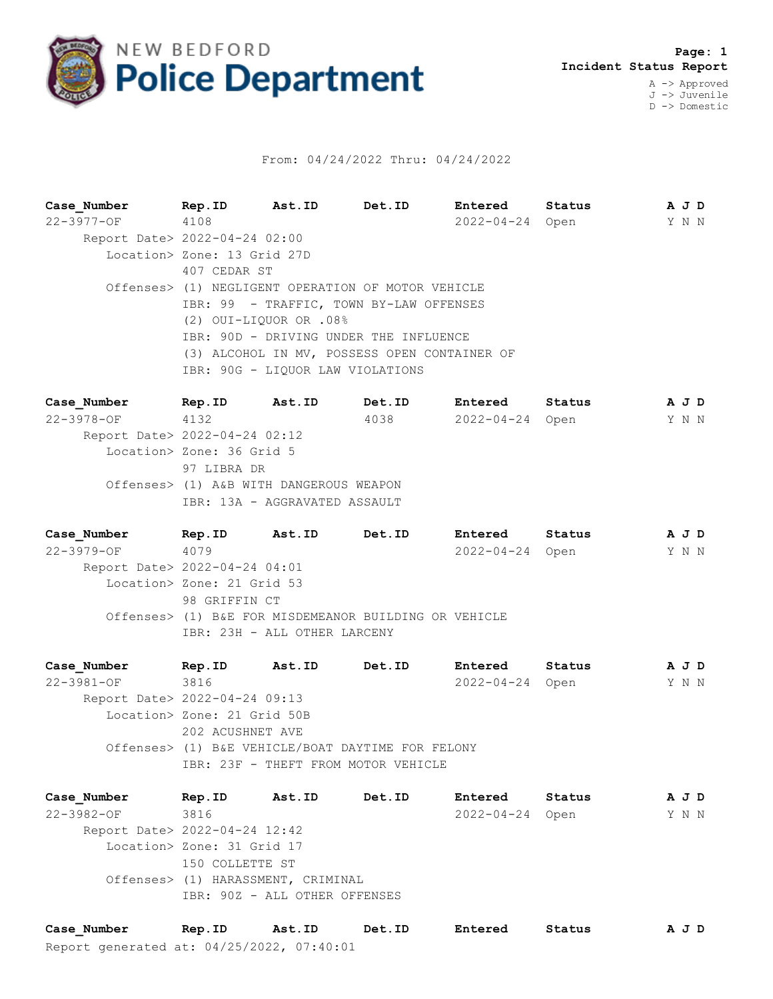

## From: 04/24/2022 Thru: 04/24/2022

**Case\_Number Rep.ID Ast.ID Det.ID Entered Status A J D** 22-3977-OF 4108 2022-04-24 Open Y N N Report Date> 2022-04-24 02:00 Location> Zone: 13 Grid 27D 407 CEDAR ST Offenses> (1) NEGLIGENT OPERATION OF MOTOR VEHICLE IBR: 99 - TRAFFIC, TOWN BY-LAW OFFENSES (2) OUI-LIQUOR OR .08% IBR: 90D - DRIVING UNDER THE INFLUENCE (3) ALCOHOL IN MV, POSSESS OPEN CONTAINER OF IBR: 90G - LIQUOR LAW VIOLATIONS

**Case\_Number Rep.ID Ast.ID Det.ID Entered Status A J D** 22-3978-OF 4132 4038 2022-04-24 Open Y N N Report Date> 2022-04-24 02:12 Location> Zone: 36 Grid 5 97 LIBRA DR Offenses> (1) A&B WITH DANGEROUS WEAPON IBR: 13A - AGGRAVATED ASSAULT

**Case\_Number Rep.ID Ast.ID Det.ID Entered Status A J D** 22-3979-OF 4079 2022-04-24 Open Y N N Report Date> 2022-04-24 04:01 Location> Zone: 21 Grid 53 98 GRIFFIN CT Offenses> (1) B&E FOR MISDEMEANOR BUILDING OR VEHICLE IBR: 23H - ALL OTHER LARCENY

**Case\_Number Rep.ID Ast.ID Det.ID Entered Status A J D** 22-3981-OF 3816 2022-04-24 Open Y N N Report Date> 2022-04-24 09:13 Location> Zone: 21 Grid 50B 202 ACUSHNET AVE Offenses> (1) B&E VEHICLE/BOAT DAYTIME FOR FELONY IBR: 23F - THEFT FROM MOTOR VEHICLE

**Case\_Number Rep.ID Ast.ID Det.ID Entered Status A J D** 22-3982-OF 3816 2022-04-24 Open Y N N Report Date> 2022-04-24 12:42 Location> Zone: 31 Grid 17 150 COLLETTE ST Offenses> (1) HARASSMENT, CRIMINAL IBR: 90Z - ALL OTHER OFFENSES

Report generated at: 04/25/2022, 07:40:01 **Case\_Number Rep.ID Ast.ID Det.ID Entered Status A J D**